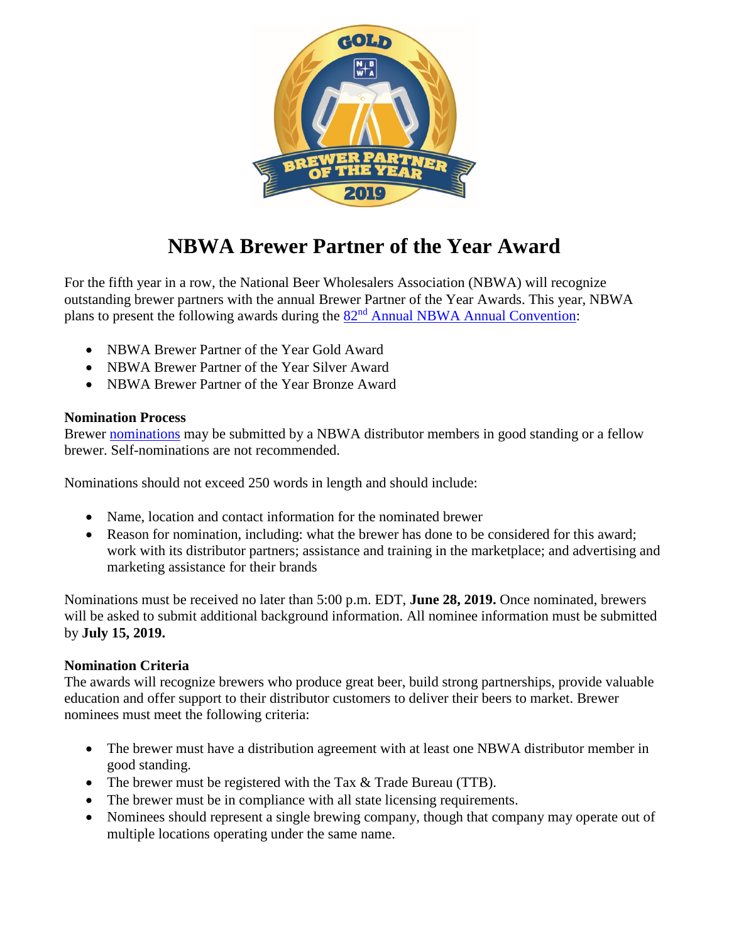

# **NBWA Brewer Partner of the Year Award**

For the fifth year in a row, the National Beer Wholesalers Association (NBWA) will recognize outstanding brewer partners with the annual Brewer Partner of the Year Awards. This year, NBWA plans to present the following awards during the  $82<sup>nd</sup>$  [Annual NBWA Annual Convention:](https://www.nbwa.org/events/annual-convention)

- NBWA Brewer Partner of the Year Gold Award
- NBWA Brewer Partner of the Year Silver Award
- NBWA Brewer Partner of the Year Bronze Award

### **Nomination Process**

Brewer [nominations](https://www.nbwa.org/webform/brewer-partner-year-contest) may be submitted by a NBWA distributor members in good standing or a fellow brewer. Self-nominations are not recommended.

Nominations should not exceed 250 words in length and should include:

- Name, location and contact information for the nominated brewer
- Reason for nomination, including: what the brewer has done to be considered for this award; work with its distributor partners; assistance and training in the marketplace; and advertising and marketing assistance for their brands

Nominations must be received no later than 5:00 p.m. EDT, **June 28, 2019.** Once nominated, brewers will be asked to submit additional background information. All nominee information must be submitted by **July 15, 2019.**

# **Nomination Criteria**

The awards will recognize brewers who produce great beer, build strong partnerships, provide valuable education and offer support to their distributor customers to deliver their beers to market. Brewer nominees must meet the following criteria:

- The brewer must have a distribution agreement with at least one NBWA distributor member in good standing.
- The brewer must be registered with the Tax & Trade Bureau (TTB).
- The brewer must be in compliance with all state licensing requirements.
- Nominees should represent a single brewing company, though that company may operate out of multiple locations operating under the same name.